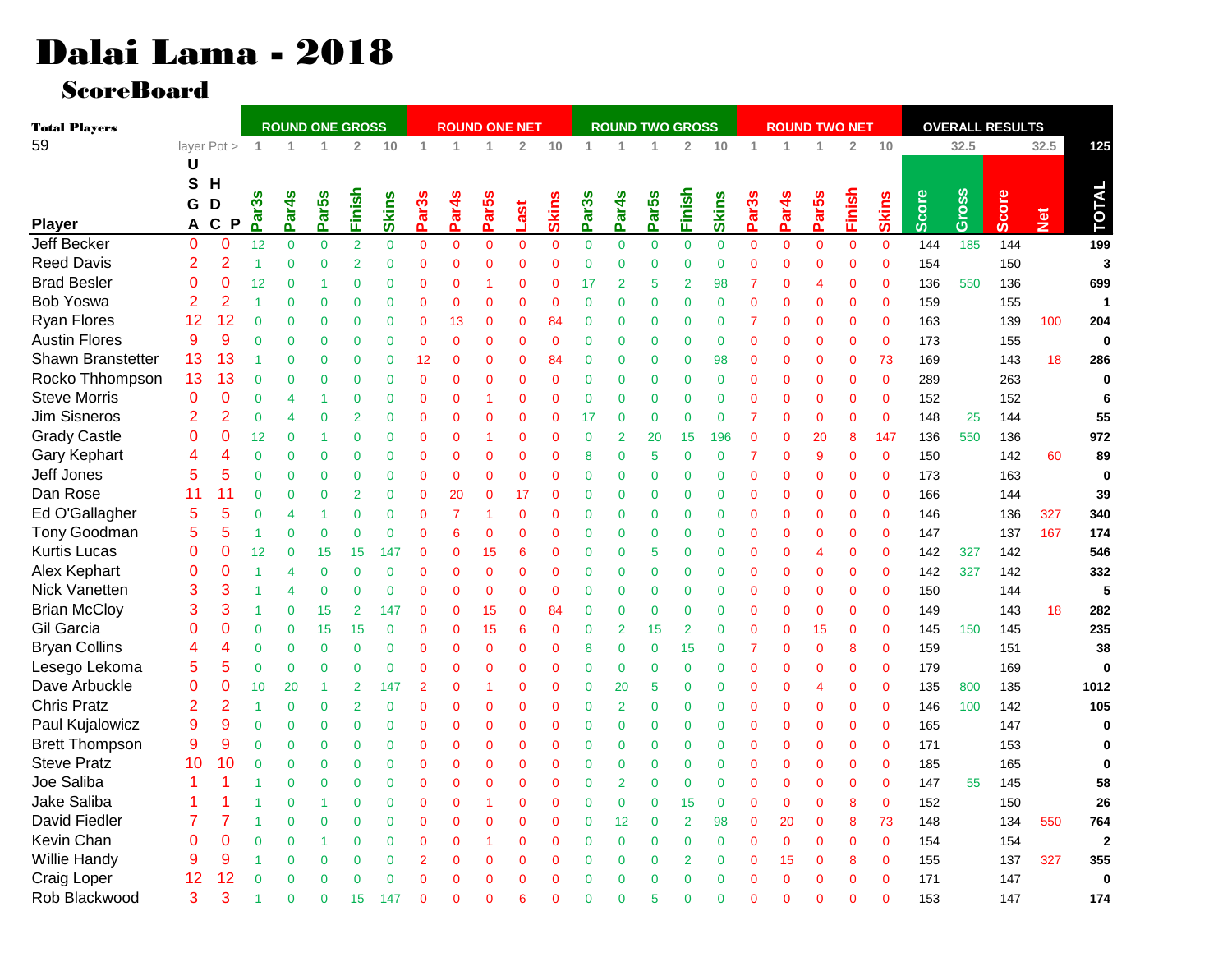## Dalai Lama - 2018

ScoreBoard

| <b>Total Players</b>  |                | <b>ROUND ONE GROSS</b>      |                |                   |                   |                | <b>ROUND ONE NET</b> |                   |                   |                   |                 |                |                   | <b>ROUND TWO GROSS</b> |                   |                |                | <b>ROUND TWO NET</b> |                   |                   |                | <b>OVERALL RESULTS</b> |              |       |       |      |                         |
|-----------------------|----------------|-----------------------------|----------------|-------------------|-------------------|----------------|----------------------|-------------------|-------------------|-------------------|-----------------|----------------|-------------------|------------------------|-------------------|----------------|----------------|----------------------|-------------------|-------------------|----------------|------------------------|--------------|-------|-------|------|-------------------------|
| 59                    |                | layer Pot >                 | $\overline{1}$ | $\overline{1}$    |                   | $\overline{2}$ | $10$                 | 1                 | 1                 | $\overline{1}$    | $\overline{2}$  | $10$           | 1                 | 1                      | 1                 | $\overline{2}$ | 10             | $\mathbf{1}$         |                   |                   | $\overline{2}$ | 10                     |              | 32.5  |       | 32.5 | 125                     |
|                       | U              |                             |                |                   |                   |                |                      |                   |                   |                   |                 |                |                   |                        |                   |                |                |                      |                   |                   |                |                        |              |       |       |      |                         |
|                       | S              | H                           |                |                   |                   |                |                      |                   |                   |                   |                 |                |                   |                        |                   |                |                |                      |                   |                   |                |                        |              |       |       |      |                         |
|                       | G              | D                           | တိ             |                   |                   |                |                      |                   |                   |                   |                 |                |                   |                        |                   |                |                |                      |                   |                   |                |                        |              |       |       |      |                         |
| <b>Player</b>         | A              | $\mathbf c$<br>$\mathsf{P}$ | ត<br>Ä.        | Par <sub>4s</sub> | Par <sub>5s</sub> | Finish         | <b>Skins</b>         | Par <sub>3s</sub> | Par <sub>4s</sub> | Par <sub>5s</sub> | Last            | <b>Skins</b>   | Par <sub>3s</sub> | Par4 <sub>S</sub>      | Par <sub>5s</sub> | Finish         | <b>Skins</b>   | Par <sub>3s</sub>    | Par <sub>4s</sub> | Par <sub>5s</sub> | Finish         | <b>Skins</b>           | <b>Score</b> | Gross | Score | Net  | <b>TOTAL</b>            |
| <b>Jeff Becker</b>    | 0              | $\Omega$                    | 12             | $\overline{0}$    | $\overline{0}$    | $\overline{2}$ | $\overline{0}$       | $\overline{0}$    | $\overline{0}$    | $\overline{0}$    | $\overline{0}$  | $\mathbf{0}$   | $\overline{0}$    | $\pmb{0}$              | $\overline{0}$    | $\overline{0}$ | $\overline{0}$ | $\mathbf 0$          | $\overline{0}$    | $\overline{0}$    | $\overline{0}$ | $\overline{0}$         | 144          | 185   | 144   |      | 199                     |
| <b>Reed Davis</b>     | 2              | 2                           | $\mathbf{1}$   | $\mathbf 0$       | $\overline{0}$    | $\overline{2}$ | $\mathbf 0$          | $\overline{0}$    | $\overline{0}$    | $\overline{0}$    | $\mathbf 0$     | $\mathbf{0}$   | $\mathbf{0}$      | $\mathbf 0$            | 0                 | $\overline{0}$ | $\overline{0}$ | $\Omega$             | $\overline{0}$    | $\mathbf{0}$      | $\mathbf{0}$   | $\mathbf 0$            | 154          |       | 150   |      | 3                       |
| <b>Brad Besler</b>    | $\overline{0}$ | 0                           | 12             | $\mathbf 0$       | 1                 | $\overline{0}$ | $\mathbf{0}$         | $\overline{0}$    | $\overline{0}$    | $\overline{1}$    | $\mathbf{0}$    | $\overline{0}$ | 17                | 2                      | 5                 | $\overline{2}$ | 98             | $\overline{7}$       | $\Omega$          | $\overline{4}$    | $\mathbf{0}$   | $\mathbf{0}$           | 136          | 550   | 136   |      | 699                     |
| <b>Bob Yoswa</b>      | $\overline{2}$ | $\overline{2}$              | 1              | $\Omega$          | $\Omega$          | $\overline{0}$ | $\mathbf 0$          | $\Omega$          | $\overline{0}$    | $\overline{0}$    | $\Omega$        | $\Omega$       | 0                 | $\mathbf{0}$           | $\overline{0}$    | $\Omega$       | $\overline{0}$ | $\Omega$             | $\Omega$          | $\Omega$          | $\mathbf{0}$   | $\overline{0}$         | 159          |       | 155   |      | $\mathbf{1}$            |
| Ryan Flores           | 12             | 12                          | $\mathbf{0}$   | $\mathbf 0$       | $\mathbf 0$       | $\mathbf{0}$   | $\mathbf 0$          | $\overline{0}$    | 13                | $\mathbf 0$       | $\mathbf 0$     | 84             | 0                 | $\mathbf 0$            | $\mathbf 0$       | $\overline{0}$ | $\overline{0}$ | 7                    | $\Omega$          | ∩                 | $\mathbf{0}$   | $\mathbf{0}$           | 163          |       | 139   | 100  | 204                     |
| <b>Austin Flores</b>  | 9              | 9                           | $\mathbf{0}$   | $\mathbf 0$       | $\mathbf 0$       | $\mathbf{0}$   | $\mathbf 0$          | $\overline{0}$    | $\overline{0}$    | $\overline{0}$    | $\mathbf{0}$    | $\mathbf{0}$   | $\mathbf 0$       | $\mathbf 0$            | 0                 | $\overline{0}$ | $\overline{0}$ | $\mathbf 0$          | $\Omega$          | $\Omega$          | $\mathbf 0$    | $\mathbf{0}$           | 173          |       | 155   |      | $\bf{0}$                |
| Shawn Branstetter     | 13             | 13                          | 1              | $\mathbf 0$       | $\mathbf 0$       | $\overline{0}$ | $\mathbf 0$          | 12                | $\overline{0}$    | $\overline{0}$    | $\mathbf 0$     | 84             | $\mathbf 0$       | $\mathbf 0$            | 0                 | $\overline{0}$ | 98             | $\mathbf{0}$         | $\Omega$          | $\mathbf{0}$      | $\mathbf{0}$   | 73                     | 169          |       | 143   | 18   | 286                     |
| Rocko Thhompson       | 13             | 13                          | $\mathbf 0$    | $\mathbf 0$       | $\mathbf 0$       | $\overline{0}$ | $\mathbf{0}$         | $\mathbf 0$       | $\overline{0}$    | $\overline{0}$    | $\mathbf 0$     | $\mathbf 0$    | $\mathbf 0$       | $\mathbf{0}$           | 0                 | $\overline{0}$ | $\overline{0}$ | $\mathbf 0$          | $\overline{0}$    | $\mathbf{0}$      | $\mathbf{0}$   | $\mathbf{0}$           | 289          |       | 263   |      | $\bf{0}$                |
| <b>Steve Morris</b>   | $\Omega$       | 0                           | $\mathbf{0}$   | 4                 | 1                 | $\mathbf 0$    | $\mathbf 0$          | $\overline{0}$    | $\Omega$          | -1                | $\mathbf 0$     | $\mathbf{0}$   | $\mathbf 0$       | $\mathbf 0$            | 0                 | $\overline{0}$ | $\overline{0}$ | $\Omega$             | $\Omega$          | $\mathbf{0}$      | $\mathbf 0$    | $\Omega$               | 152          |       | 152   |      | 6                       |
| Jim Sisneros          | $\overline{2}$ | 2                           | $\mathbf{0}$   | 4                 | $\overline{0}$    | $\overline{2}$ | $\mathbf 0$          | $\overline{0}$    | $\Omega$          | $\overline{0}$    | $\mathbf 0$     | $\mathbf{0}$   | 17                | $\mathbf 0$            | $\mathbf 0$       | $\overline{0}$ | $\overline{0}$ | 7                    | $\Omega$          | $\mathbf{0}$      | $\mathbf{0}$   | $\mathbf{0}$           | 148          | 25    | 144   |      | 55                      |
| <b>Grady Castle</b>   | 0              | 0                           | 12             | $\mathbf 0$       | 1                 | $\overline{0}$ | $\mathbf 0$          | $\overline{0}$    | $\overline{0}$    | $\overline{1}$    | $\mathbf 0$     | $\mathbf{0}$   | $\mathbf{0}$      | $\overline{2}$         | 20                | 15             | 196            | $\mathbf{0}$         | $\overline{0}$    | 20                | 8              | 147                    | 136          | 550   | 136   |      | 972                     |
| Gary Kephart          | 4              | 4                           | $\mathbf{0}$   | $\mathbf 0$       | $\overline{0}$    | $\overline{0}$ | $\mathbf 0$          | $\overline{0}$    | $\overline{0}$    | $\overline{0}$    | $\mathbf 0$     | $\mathbf{0}$   | 8                 | $\pmb{0}$              | 5                 | $\overline{0}$ | $\overline{0}$ | 7                    | $\Omega$          | 9                 | $\mathbf{0}$   | $\mathbf{0}$           | 150          |       | 142   | 60   | 89                      |
| Jeff Jones            | 5              | 5                           | $\mathbf{0}$   | $\mathbf 0$       | $\mathbf 0$       | $\mathbf{0}$   | $\pmb{0}$            | $\overline{0}$    | $\overline{0}$    | $\overline{0}$    | $\mathbf{0}$    | $\overline{0}$ | $\mathbf 0$       | $\mathbf 0$            | 0                 | $\overline{0}$ | $\overline{0}$ | $\mathbf 0$          | $\Omega$          | $\mathbf{0}$      | $\mathbf{0}$   | $\overline{0}$         | 173          |       | 163   |      | $\bf{0}$                |
| Dan Rose              | 11             | 11                          | $\mathbf{0}$   | $\mathbf 0$       | $\overline{0}$    | $\overline{2}$ | $\mathbf{0}$         | $\overline{0}$    | 20                | $\overline{0}$    | 17              | $\mathbf{0}$   | 0                 | $\mathbf 0$            | 0                 | $\overline{0}$ | $\overline{0}$ | $\mathbf 0$          | $\Omega$          | $\Omega$          | $\mathbf{0}$   | $\mathbf{0}$           | 166          |       | 144   |      | 39                      |
| Ed O'Gallagher        | 5              | 5                           | $\Omega$       | 4                 | 1                 | $\overline{0}$ | 0                    | $\overline{0}$    | $\overline{7}$    | -1                | $\mathbf 0$     | $\overline{0}$ | 0                 | $\bf{0}$               | 0                 | 0              | $\overline{0}$ | $\mathbf 0$          | $\Omega$          | 0                 | $\mathbf{0}$   | $\mathbf{0}$           | 146          |       | 136   | 327  | 340                     |
| Tony Goodman          | 5              | 5                           | $\mathbf{1}$   | $\mathbf 0$       | $\overline{0}$    | $\overline{0}$ | $\mathbf 0$          | $\overline{0}$    | 6                 | $\overline{0}$    | $\mathbf{0}$    | $\overline{0}$ | $\mathbf 0$       | $\mathbf 0$            | 0                 | $\overline{0}$ | $\overline{0}$ | $\mathbf{0}$         | $\overline{0}$    | $\Omega$          | $\mathbf{0}$   | $\mathbf{0}$           | 147          |       | 137   | 167  | 174                     |
| <b>Kurtis Lucas</b>   | 0              | 0                           | 12             | $\mathbf 0$       | 15                | 15             | 147                  | $\Omega$          | $\mathbf{0}$      | 15                | 6               | $\overline{0}$ | $\mathbf 0$       | $\mathbf 0$            | 5                 | $\overline{0}$ | $\overline{0}$ | $\mathbf 0$          | $\Omega$          | 4                 | $\mathbf{0}$   | $\mathbf{0}$           | 142          | 327   | 142   |      | 546                     |
| Alex Kephart          | 0              | 0                           | 1              | 4                 | $\overline{0}$    | $\mathbf{0}$   | $\mathbf 0$          | $\Omega$          | $\overline{0}$    | $\overline{0}$    | $\mathbf 0$     | $\mathbf{0}$   | $\mathbf 0$       | $\mathbf 0$            | 0                 | $\mathbf 0$    | $\overline{0}$ | $\mathbf 0$          | $\Omega$          | $\mathbf{0}$      | $\mathbf{0}$   | $\mathbf 0$            | 142          | 327   | 142   |      | 332                     |
| Nick Vanetten         | 3              | 3                           | $\overline{1}$ | 4                 | $\mathbf 0$       | $\mathbf{0}$   | $\mathbf{0}$         | $\overline{0}$    | $\overline{0}$    | $\overline{0}$    | $\mathbf{0}$    | $\mathbf{0}$   | $\mathbf 0$       | $\mathbf{0}$           | 0                 | $\overline{0}$ | $\overline{0}$ | $\mathbf 0$          | $\Omega$          | $\mathbf{0}$      | $\mathbf 0$    | $\mathbf{0}$           | 150          |       | 144   |      | 5                       |
| <b>Brian McCloy</b>   | 3              | 3                           | $\mathbf{1}$   | $\mathbf 0$       | 15                | $\overline{2}$ | 147                  | $\overline{0}$    | $\overline{0}$    | 15                | $\mathbf{0}$    | 84             | $\mathbf 0$       | $\mathbf{0}$           | $\mathbf 0$       | $\overline{0}$ | $\overline{0}$ | $\mathbf{0}$         | $\Omega$          | $\mathbf{0}$      | $\mathbf{0}$   | $\Omega$               | 149          |       | 143   | 18   | 282                     |
| Gil Garcia            | ი              | 0                           | $\mathbf{0}$   | $\mathbf 0$       | 15                | 15             | $\bf{0}$             | $\pmb{0}$         | $\overline{0}$    | 15                | $6\phantom{1}6$ | $\mathbf 0$    | $\mathbf{0}$      | $\overline{2}$         | 15                | $\overline{2}$ | $\overline{0}$ | $\mathbf{0}$         | $\overline{0}$    | 15                | $\bf{0}$       | $\mathbf{0}$           | 145          | 150   | 145   |      | 235                     |
| <b>Bryan Collins</b>  | 4              | 4                           | $\mathbf{0}$   | $\mathbf 0$       | $\overline{0}$    | $\mathbf{0}$   | $\mathbf 0$          | $\overline{0}$    | $\overline{0}$    | $\overline{0}$    | $\mathbf{0}$    | $\mathbf{0}$   | 8                 | $\mathbf{0}$           | 0                 | 15             | $\overline{0}$ | 7                    | $\Omega$          | $\Omega$          | 8              | $\Omega$               | 159          |       | 151   |      | 38                      |
| Lesego Lekoma         | 5              | 5                           | $\mathbf{0}$   | $\mathbf 0$       | $\overline{0}$    | $\overline{0}$ | $\mathbf{0}$         | $\overline{0}$    | $\overline{0}$    | $\overline{0}$    | $\mathbf{0}$    | $\overline{0}$ | 0                 | $\pmb{0}$              | 0                 | $\overline{0}$ | $\overline{0}$ | $\Omega$             | $\Omega$          | $\mathbf{0}$      | $\mathbf{0}$   | $\overline{0}$         | 179          |       | 169   |      | $\bf{0}$                |
| Dave Arbuckle         | 0              | 0                           | 10             | 20                | 1                 | $\overline{2}$ | 147                  | $\overline{2}$    | $\overline{0}$    | $\overline{1}$    | $\mathbf{0}$    | $\overline{0}$ | $\mathbf 0$       | 20                     | 5                 | $\overline{0}$ | $\overline{0}$ | $\mathbf{0}$         | $\Omega$          | $\overline{4}$    | $\mathbf{0}$   | $\mathbf{0}$           | 135          | 800   | 135   |      | 1012                    |
| <b>Chris Pratz</b>    | 2              | $\overline{2}$              | $\overline{1}$ | $\mathbf 0$       | $\overline{0}$    | $\overline{2}$ | $\mathbf 0$          | $\Omega$          | $\overline{0}$    | $\overline{0}$    | $\mathbf 0$     | $\overline{0}$ | $\overline{0}$    | $\overline{2}$         | 0                 | $\overline{0}$ | $\overline{0}$ | $\Omega$             | $\Omega$          | $\Omega$          | $\mathbf{0}$   | $\mathbf{0}$           | 146          | 100   | 142   |      | 105                     |
| Paul Kujalowicz       | g              | 9                           | $\mathbf{0}$   | $\mathbf 0$       | $\mathbf 0$       | $\mathbf{0}$   | 0                    | $\overline{0}$    | $\overline{0}$    | $\overline{0}$    | $\mathbf 0$     | $\mathbf{0}$   | 0                 | $\bf{0}$               | $\pmb{0}$         | $\overline{0}$ | $\overline{0}$ | $\mathbf 0$          | $\mathbf 0$       | 0                 | $\mathbf 0$    | $\mathbf{0}$           | 165          |       | 147   |      | $\bf{0}$                |
| <b>Brett Thompson</b> | 9              | 9                           | $\mathbf{0}$   | $\mathbf 0$       | $\overline{0}$    | $\mathbf{0}$   | $\mathbf 0$          | $\overline{0}$    | $\overline{0}$    | $\overline{0}$    | $\mathbf{0}$    | $\mathbf{0}$   | 0                 | $\mathbf 0$            | 0                 | $\overline{0}$ | $\overline{0}$ | $\mathbf 0$          | $\Omega$          | 0                 | $\mathbf 0$    | $\mathbf{0}$           | 171          |       | 153   |      | $\bf{0}$                |
| <b>Steve Pratz</b>    | 10             | 10                          | $\Omega$       | $\mathbf 0$       | $\overline{0}$    | $\overline{0}$ | $\mathbf 0$          | $\overline{0}$    | $\overline{0}$    | $\overline{0}$    | $\mathbf{0}$    | $\mathbf 0$    | $\mathbf{0}$      | $\mathbf{0}$           | 0                 | $\overline{0}$ | $\overline{0}$ | $\mathbf{0}$         | $\Omega$          | 0                 | $\mathbf{0}$   | $\mathbf{0}$           | 185          |       | 165   |      | O                       |
| Joe Saliba            |                | 1                           | 1              | $\mathbf 0$       | $\overline{0}$    | $\mathbf{0}$   | $\mathbf{0}$         | $\pmb{0}$         | $\overline{0}$    | $\overline{0}$    | $\mathbf{0}$    | $\mathbf 0$    | $\mathbf{0}$      | $\overline{2}$         | $\overline{0}$    | $\overline{0}$ | $\overline{0}$ | $\mathbf{0}$         | $\Omega$          | 0                 | $\mathbf{0}$   | $\mathbf{0}$           | 147          | 55    | 145   |      | 58                      |
| Jake Saliba           |                | 1                           | 1              | $\mathbf 0$       | 1                 | $\mathbf{0}$   | 0                    | $\overline{0}$    | $\overline{0}$    | -1                | $\mathbf 0$     | 0              | $\mathbf{0}$      | $\bf{0}$               | $\overline{0}$    | 15             | $\mathbf{0}$   | $\Omega$             | $\mathbf{0}$      | $\Omega$          | 8              | $\mathbf{0}$           | 152          |       | 150   |      | 26                      |
| David Fiedler         |                | 7                           | $\overline{1}$ | $\mathbf 0$       | 0                 | $\mathbf{0}$   | $\mathbf{0}$         | $\mathbf 0$       | $\overline{0}$    | $\overline{0}$    | $\mathbf 0$     | $\mathbf{0}$   | $\mathbf{0}$      | 12                     | $\mathbf 0$       | $\overline{2}$ | 98             | $\mathbf 0$          | 20                | $\mathbf 0$       | 8              | 73                     | 148          |       | 134   | 550  | 764                     |
| Kevin Chan            | 0              | 0                           | $\mathbf{0}$   | $\mathbf 0$       | 1                 | $\mathbf{0}$   | $\mathbf{0}$         | $\overline{0}$    | $\overline{0}$    | $\overline{1}$    | $\mathbf 0$     | $\mathbf{0}$   | $\mathbf{0}$      | $\bf{0}$               | 0                 | $\overline{0}$ | $\overline{0}$ | $\mathbf{0}$         | $\mathbf{0}$      | $\mathbf{0}$      | $\mathbf{0}$   | $\overline{0}$         | 154          |       | 154   |      | $\overline{\mathbf{c}}$ |
| Willie Handy          | 9              | 9                           |                | $\Omega$          | $\Omega$          | $\Omega$       | $\mathbf 0$          | $\overline{2}$    | $\mathbf 0$       | $\mathbf 0$       | $\mathbf 0$     | $\mathbf 0$    | $\mathbf 0$       | $\mathbf 0$            | 0                 | $\overline{2}$ | $\mathbf 0$    | $\Omega$             | 15                | $\Omega$          | 8              | $\mathbf 0$            | 155          |       | 137   | 327  | 355                     |
| Craig Loper           | 12             | 12                          | $\Omega$       | $\Omega$          | $\Omega$          | $\Omega$       | $\Omega$             | $\mathbf 0$       | $\Omega$          | $\Omega$          | $\Omega$        | $\mathbf 0$    | $\Omega$          | $\Omega$               | $\overline{0}$    | $\Omega$       | $\Omega$       | ∩                    | $\Omega$          | $\Omega$          | $\mathbf 0$    | $\Omega$               | 171          |       | 147   |      | $\bf{0}$                |
| Rob Blackwood         | 3              | 3                           |                | $\Omega$          | $\Omega$          | 15             | 147                  | $\Omega$          | $\Omega$          | $\Omega$          | ค               | $\Omega$       | $\overline{0}$    | $\Omega$               | 5                 | $\Omega$       | $\overline{0}$ | ∩                    | $\Omega$          | $\Omega$          | $\Omega$       | $\Omega$               | 153          |       | 147   |      | 174                     |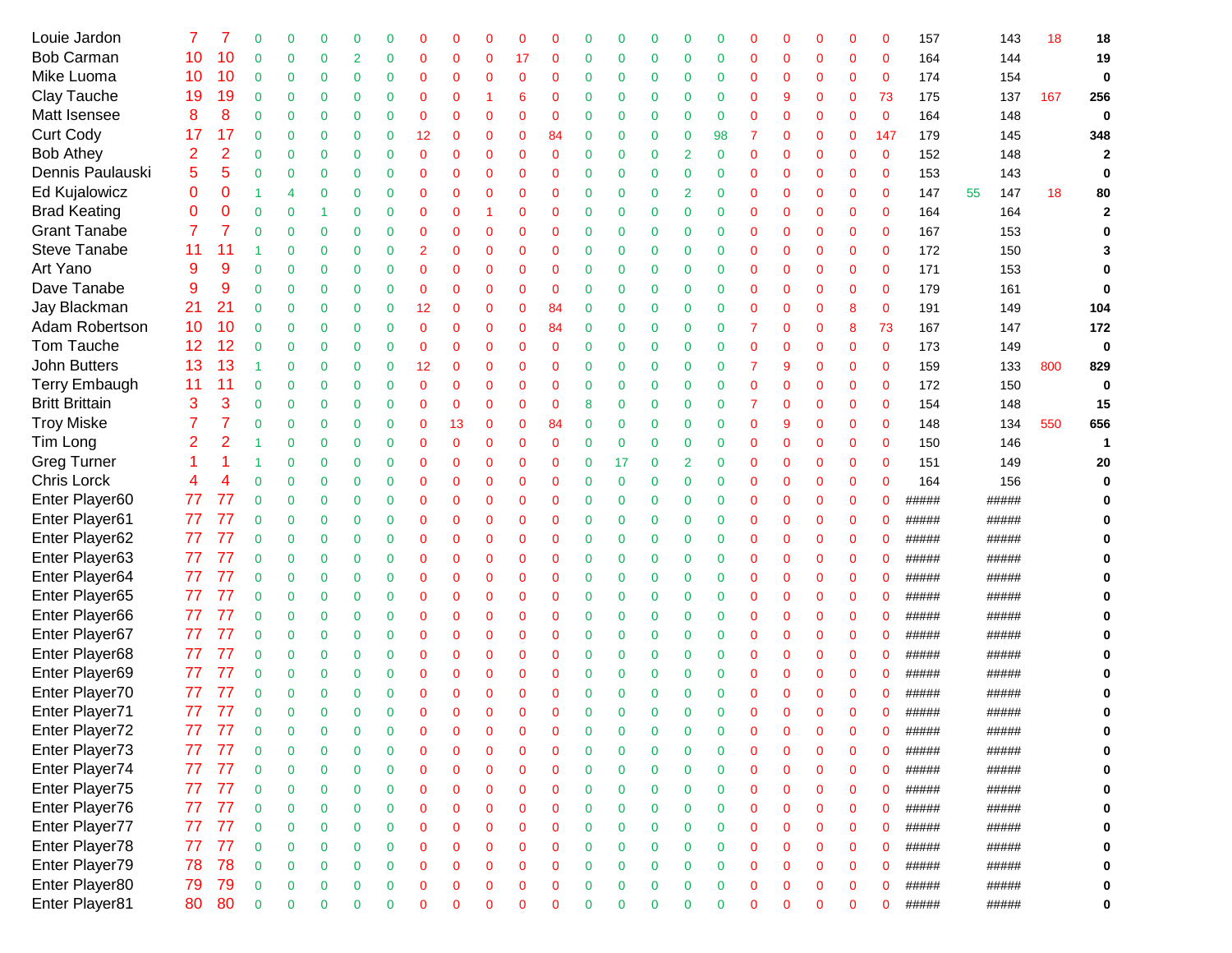| Louie Jardon          |    |    |              | 0              |             | ∩              |              |                |             |              |             |             |             |                | 0        |                |                |          |                |          | 0           | 0            | 157   | 143       | 18  | 18             |
|-----------------------|----|----|--------------|----------------|-------------|----------------|--------------|----------------|-------------|--------------|-------------|-------------|-------------|----------------|----------|----------------|----------------|----------|----------------|----------|-------------|--------------|-------|-----------|-----|----------------|
| <b>Bob Carman</b>     | 10 | 10 | $\Omega$     | 0              | 0           | $\overline{2}$ | $\mathbf 0$  | $\mathbf 0$    | 0           | $\mathbf 0$  | 17          | 0           | 0           | $\overline{0}$ | 0        | 0              | $\overline{0}$ | $\Omega$ | $\Omega$       | 0        | $\mathbf 0$ | $\mathbf 0$  | 164   | 144       |     | 19             |
| Mike Luoma            | 10 | 10 | $\mathbf 0$  | 0              | 0           | $\overline{0}$ | $\mathbf 0$  | $\mathbf 0$    | $\Omega$    | $\mathbf 0$  | 0           | $\Omega$    | 0           | 0              | 0        | 0              | $\overline{0}$ | $\Omega$ | $\Omega$       | $\Omega$ | $\mathbf 0$ | $\mathbf 0$  | 174   | 154       |     | $\mathbf 0$    |
| Clay Tauche           | 19 | 19 | $\mathbf 0$  | $\mathbf 0$    | 0           | 0              | $\mathbf 0$  | $\mathbf 0$    | $\Omega$    |              | 6           | 0           | 0           | $\mathbf 0$    | 0        | 0              | $\overline{0}$ | $\Omega$ | 9              | 0        | $\mathbf 0$ | 73           | 175   | 137       | 167 | 256            |
| Matt Isensee          | 8  | 8  | 0            | $\mathbf 0$    | $\mathbf 0$ | 0              | $\mathbf 0$  | $\mathbf 0$    | 0           | $\mathbf 0$  | 0           | 0           | 0           | 0              | 0        | 0              | $\overline{0}$ | $\Omega$ | $\Omega$       | 0        | $\mathbf 0$ | $\mathbf{0}$ | 164   | 148       |     | 0              |
| <b>Curt Cody</b>      | 17 | 17 | 0            | $\mathbf 0$    | $\mathbf 0$ | 0              | 0            | 12             | $\mathbf 0$ | $\mathbf 0$  | 0           | 84          | 0           | 0              | 0        | 0              | 98             |          | 0              | 0        | 0           | 147          | 179   | 145       |     | 348            |
| <b>Bob Athey</b>      | 2  | 2  | 0            | $\mathbf 0$    | $\mathbf 0$ | 0              | $\mathbf 0$  | $\mathbf 0$    | $\Omega$    | $\mathbf 0$  | $\mathbf 0$ | $\mathbf 0$ | 0           | $\mathbf 0$    | 0        | $\overline{2}$ | 0              | 0        | $\mathbf 0$    | 0        | $\mathbf 0$ | $\mathbf 0$  | 152   | 148       |     | $\overline{2}$ |
| Dennis Paulauski      | 5  | 5  | 0            | $\mathbf 0$    | $\mathbf 0$ | 0              | $\mathbf 0$  | $\mathbf 0$    | $\Omega$    | $\mathbf 0$  | $\mathbf 0$ | $\mathbf 0$ | 0           | $\mathbf 0$    | 0        | $\mathbf 0$    | $\overline{0}$ | 0        | $\Omega$       | 0        | $\mathbf 0$ | $\mathbf{0}$ | 153   | 143       |     | 0              |
| <b>Ed Kujalowicz</b>  | 0  | 0  | 1            | 4              | $\mathbf 0$ | $\overline{0}$ | 0            | $\mathbf 0$    | $\Omega$    | $\mathbf 0$  | $\mathbf 0$ | $\mathbf 0$ | 0           | $\mathbf 0$    | 0        | $\overline{2}$ | $\overline{0}$ | $\Omega$ | $\Omega$       | 0        | $\mathbf 0$ | $\mathbf{0}$ | 147   | 147<br>55 | 18  | 80             |
| <b>Brad Keating</b>   | 0  | 0  | $\mathbf 0$  | $\mathbf 0$    | 1           | $\overline{0}$ | $\mathbf 0$  | $\mathbf 0$    | $\mathbf 0$ | -1           | 0           | $\mathbf 0$ | 0           | $\mathbf 0$    | 0        | $\mathbf 0$    | $\mathbf 0$    | $\Omega$ | $\Omega$       | 0        | $\mathbf 0$ | $\mathbf 0$  | 164   | 164       |     | $\overline{2}$ |
| <b>Grant Tanabe</b>   | 7  | 7  | $\mathbf 0$  | $\mathbf 0$    | $\mathbf 0$ | $\overline{0}$ | $\mathbf 0$  | $\mathbf 0$    | $\Omega$    | $\mathbf 0$  | 0           | $\mathbf 0$ | 0           | $\mathbf 0$    | 0        | $\mathbf 0$    | $\mathbf 0$    | $\Omega$ | $\Omega$       | 0        | $\mathbf 0$ | $\mathbf{0}$ | 167   | 153       |     |                |
| Steve Tanabe          | 11 | 11 | 1            | $\mathbf 0$    | $\mathbf 0$ | $\mathbf 0$    | $\mathbf 0$  | $\overline{2}$ | $\mathbf 0$ | $\mathbf 0$  | 0           | $\mathbf 0$ | 0           | $\mathbf 0$    | 0        | 0              | $\mathbf 0$    | $\Omega$ | $\Omega$       | 0        | $\mathbf 0$ | $\mathbf 0$  | 172   | 150       |     |                |
| Art Yano              | 9  | 9  | $\mathbf 0$  | $\mathbf 0$    | $\bf{0}$    | $\mathbf 0$    | $\mathbf 0$  | $\mathbf 0$    | $\mathbf 0$ | $\mathbf 0$  | 0           | 0           | 0           | $\mathbf 0$    | 0        | 0              | $\bf{0}$       | 0        | $\overline{0}$ | 0        | $\mathbf 0$ | $\mathbf 0$  | 171   | 153       |     |                |
| Dave Tanabe           | 9  | 9  | $\mathbf 0$  | $\mathbf 0$    | $\mathbf 0$ | $\mathbf 0$    | $\mathbf 0$  | $\mathbf 0$    | $\mathbf 0$ | $\mathbf 0$  | 0           | 0           | 0           | $\mathbf 0$    | 0        | 0              | $\bf{0}$       | 0        | $\overline{0}$ | 0        | $\mathbf 0$ | $\mathbf 0$  | 179   | 161       |     | O              |
| Jay Blackman          | 21 | 21 | $\mathbf 0$  | $\mathbf 0$    | $\mathbf 0$ | 0              | $\mathbf 0$  | 12             | $\mathbf 0$ | $\mathbf 0$  | 0           | 84          | 0           | $\mathbf 0$    | 0        | 0              | $\mathbf 0$    | 0        | $\overline{0}$ | 0        | 8           | $\mathbf 0$  | 191   | 149       |     | 104            |
| Adam Robertson        | 10 | 10 | $\Omega$     | $\mathbf 0$    | $\mathbf 0$ | 0              | $\mathbf 0$  | $\mathbf 0$    | $\mathbf 0$ | $\mathbf 0$  | 0           | 84          | $\mathbf 0$ | $\mathbf 0$    | 0        | 0              | $\mathbf 0$    |          | $\Omega$       | 0        | 8           | 73           | 167   | 147       |     | 172            |
| Tom Tauche            | 12 | 12 | $\Omega$     | 0              | $\mathbf 0$ | $\overline{0}$ | $\mathbf 0$  | $\mathbf 0$    | $\mathbf 0$ | $\mathbf 0$  | 0           | $\mathbf 0$ | 0           | $\mathbf 0$    | 0        | 0              | $\mathbf 0$    | $\Omega$ | $\Omega$       | 0        | $\mathbf 0$ | $\mathbf 0$  | 173   | 149       |     | $\mathbf 0$    |
| John Butters          | 13 | 13 |              | 0              | $\mathbf 0$ | $\overline{0}$ | $\mathbf 0$  | 12             | $\mathbf 0$ | $\mathbf 0$  | 0           | $\mathbf 0$ | 0           | $\mathbf 0$    | 0        | 0              | $\mathbf 0$    |          | 9              | 0        | $\mathbf 0$ | $\mathbf 0$  | 159   | 133       | 800 | 829            |
| <b>Terry Embaugh</b>  | 11 | 11 | $\mathbf 0$  | 0              | $\mathbf 0$ | $\overline{0}$ | $\mathbf 0$  | $\mathbf 0$    | $\Omega$    | $\mathbf 0$  | 0           | $\mathbf 0$ | 0           | $\mathbf 0$    | 0        | 0              | $\overline{0}$ | $\Omega$ | $\Omega$       | 0        | $\mathbf 0$ | $\mathbf 0$  | 172   | 150       |     | $\mathbf 0$    |
| <b>Britt Brittain</b> | 3  | 3  | 0            | $\mathbf 0$    | $\mathbf 0$ | $\overline{0}$ | $\mathbf 0$  | $\mathbf 0$    | $\mathbf 0$ | $\mathbf 0$  | 0           | $\mathbf 0$ | 8           | $\mathbf 0$    | 0        | 0              | $\overline{0}$ |          | $\Omega$       | 0        | $\mathbf 0$ | $\mathbf 0$  | 154   | 148       |     | 15             |
| <b>Troy Miske</b>     | 7  |    | 0            | $\mathbf 0$    | $\mathbf 0$ | 0              | $\mathbf 0$  | $\mathbf 0$    | 13          | $\mathbf 0$  | 0           | 84          | 0           | $\mathbf 0$    | 0        | 0              | $\bf{0}$       | 0        | 9              | 0        | $\mathbf 0$ | $\mathbf 0$  | 148   | 134       | 550 | 656            |
| Tim Long              | 2  | 2  |              | $\mathbf 0$    | $\mathbf 0$ | 0              | 0            | $\mathbf 0$    | $\mathbf 0$ | $\mathbf 0$  | 0           | $\mathbf 0$ | 0           | 0              | 0        | 0              | $\overline{0}$ | 0        | $\mathbf 0$    | 0        | $\bf{0}$    | $\mathbf 0$  | 150   | 146       |     | 1              |
| <b>Greg Turner</b>    |    |    | 1            | $\mathbf 0$    | $\mathbf 0$ | 0              | $\mathbf 0$  | $\mathbf 0$    | $\mathbf 0$ | $\mathbf 0$  | $\mathbf 0$ | $\mathbf 0$ | $\mathbf 0$ | 17             | 0        | $\overline{2}$ | $\mathbf 0$    | 0        | $\mathbf 0$    | 0        | $\mathbf 0$ | $\mathbf 0$  | 151   | 149       |     | 20             |
| Chris Lorck           | 4  |    | 0            | $\mathbf 0$    | $\mathbf 0$ | 0              | $\mathbf 0$  | $\mathbf 0$    | $\mathbf 0$ | $\mathbf 0$  | $\mathbf 0$ | $\mathbf 0$ | $\mathbf 0$ | $\mathbf 0$    | 0        | $\mathbf 0$    | $\bf{0}$       | 0        | $\mathbf 0$    | 0        | $\mathbf 0$ | $\mathbf 0$  | 164   | 156       |     |                |
| Enter Player60        | 77 | 77 | $\mathbf 0$  | $\mathbf 0$    | $\mathbf 0$ | 0              | 0            | $\mathbf 0$    | $\mathbf 0$ | $\mathbf 0$  | 0           | $\mathbf 0$ | 0           | $\mathbf 0$    | 0        | $\mathbf 0$    | $\bf{0}$       | 0        | $\mathbf 0$    | 0        | $\mathbf 0$ | 0            | ##### | #####     |     |                |
| Enter Player61        | 77 | 77 | $\mathbf 0$  | $\mathbf 0$    | $\mathbf 0$ | $\overline{0}$ | $\mathbf{0}$ | $\mathbf 0$    | $\Omega$    | $\mathbf 0$  | $\mathbf 0$ | 0           | 0           | $\mathbf 0$    | 0        | $\mathbf 0$    | $\mathbf 0$    | 0        | $\mathbf 0$    | 0        | $\mathbf 0$ | $\mathbf 0$  | ##### | #####     |     |                |
| Enter Player62        | 77 | 77 | $\mathbf 0$  | $\mathbf 0$    | $\mathbf 0$ | $\mathbf 0$    | $\mathbf 0$  | $\mathbf 0$    | $\Omega$    | $\mathbf 0$  | $\mathbf 0$ | $\mathbf 0$ | 0           | $\mathbf 0$    | 0        | 0              | $\mathbf 0$    | 0        | $\mathbf 0$    | 0        | $\mathbf 0$ | 0            | ##### | #####     |     |                |
| Enter Player63        | 77 | 77 | $\mathbf{0}$ | $\mathbf 0$    | $\mathbf 0$ | $\mathbf 0$    | $\mathbf 0$  | $\mathbf 0$    | $\Omega$    | $\mathbf 0$  | $\mathbf 0$ | $\mathbf 0$ | 0           | $\mathbf 0$    | 0        | 0              | $\mathbf 0$    | 0        | $\overline{0}$ | 0        | $\mathbf 0$ | $\mathbf 0$  | ##### | #####     |     |                |
| Enter Player64        | 77 | 77 | $\mathbf 0$  | $\mathbf 0$    | $\mathbf 0$ | $\mathbf 0$    | $\mathbf 0$  | $\mathbf 0$    | $\mathbf 0$ | $\mathbf 0$  | 0           | 0           | 0           | $\mathbf 0$    | 0        | 0              | 0              | 0        | $\mathbf 0$    | 0        | $\mathbf 0$ | 0            | ##### | #####     |     |                |
| Enter Player65        | 77 | 77 | $\mathbf 0$  | $\mathbf 0$    | $\mathbf 0$ | $\mathbf 0$    | 0            | $\mathbf 0$    | $\mathbf 0$ | $\mathbf 0$  | $\mathbf 0$ | 0           | 0           | $\mathbf 0$    | 0        | 0              | $\mathbf 0$    | 0        | $\mathbf 0$    | 0        | $\mathbf 0$ | 0            | ##### | #####     |     |                |
| Enter Player66        | 77 | 77 | $\mathbf 0$  | $\mathbf 0$    | $\mathbf 0$ | 0              | $\mathbf{0}$ | $\mathbf 0$    | $\mathbf 0$ | $\mathbf 0$  | $\mathbf 0$ | 0           | 0           | $\mathbf 0$    | 0        | 0              | $\mathbf 0$    | $\Omega$ | $\mathbf 0$    | 0        | $\mathbf 0$ | 0            | ##### | #####     |     |                |
| Enter Player67        | 77 | 77 | $\Omega$     | $\mathbf 0$    | $\mathbf 0$ | 0              | $\mathbf 0$  | $\mathbf 0$    | $\mathbf 0$ | $\mathbf 0$  | $\mathbf 0$ | $\mathbf 0$ | 0           | $\mathbf 0$    | 0        | 0              | $\mathbf 0$    | $\Omega$ | $\Omega$       | 0        | $\mathbf 0$ | $\mathbf 0$  | ##### | #####     |     |                |
| Enter Player68        | 77 | 77 | $\Omega$     | $\mathbf 0$    | $\mathbf 0$ | 0              | $\mathbf 0$  | $\mathbf 0$    | $\mathbf 0$ | $\mathbf 0$  | $\mathbf 0$ | $\mathbf 0$ | 0           | $\mathbf 0$    | 0        | 0              | $\mathbf 0$    | $\Omega$ | $\Omega$       | 0        | $\mathbf 0$ | $\mathbf 0$  | ##### | #####     |     |                |
| Enter Player69        | 77 | 77 | $\Omega$     | $\mathbf 0$    | $\mathbf 0$ | 0              | $\mathbf{0}$ | 0              | $\mathbf 0$ | $\mathbf 0$  | 0           | 0           | 0           | 0              | 0        | 0              | $\overline{0}$ | $\Omega$ | $\Omega$       | $\Omega$ | 0           | 0            | ##### | #####     |     |                |
| Enter Player70        | 77 |    |              | 0              | $\mathbf 0$ | $\overline{0}$ | $\mathbf{0}$ | $\mathbf 0$    | $\mathbf 0$ | $\mathbf 0$  | 0           | $\mathbf 0$ | 0           | $\Omega$       | 0        | $\mathbf 0$    | $\Omega$       | $\Omega$ | $\Omega$       | 0        | 0           | 0            | ##### | #####     |     |                |
| Enter Player71        | 77 | 77 |              | $\Omega$       | ∩           | $\Omega$       | $\Omega$     | $\Omega$       |             | $\mathsf{C}$ |             | C           | ሰ           | $\Omega$       | $\Omega$ | ∩              | $\Omega$       |          | $\Omega$       |          | $\Omega$    | 0            | ##### | #####     |     |                |
| Enter Player72        |    |    | 0            | $\mathbf 0$    | 0           | 0              | 0            | 0              | 0           | 0            | 0           | 0           | 0           | 0              | 0        | 0              | 0              |          | 0              | O        | 0           | 0            | ##### | #####     |     | 0              |
| Enter Player73        | 77 | 77 | $\Omega$     | $\mathbf 0$    | $\mathbf 0$ | 0              | 0            | 0              | 0           | 0            | 0           | 0           | 0           | 0              | 0        | 0              | 0              | ∩        | $\Omega$       | 0        | 0           | 0            | ##### | #####     |     | 0              |
| Enter Player74        | 77 | 77 | $\mathbf 0$  | $\mathbf 0$    | $\mathbf 0$ | 0              | 0            | $\mathbf 0$    | 0           | $\mathbf 0$  | 0           | $\mathbf 0$ | 0           | $\mathbf 0$    | 0        | $\mathbf 0$    | $\mathbf 0$    | 0        | 0              | 0        | $\mathbf 0$ | 0            | ##### | #####     |     | 0              |
| Enter Player75        | 77 | 77 | $\mathbf{0}$ | $\mathbf 0$    | $\mathbf 0$ | 0              | $\mathbf 0$  | $\mathbf 0$    | $\mathbf 0$ | $\mathbf 0$  | 0           | $\mathbf 0$ | $\mathbf 0$ | $\mathbf 0$    | 0        | $\mathbf 0$    | $\mathbf 0$    | 0        | $\mathbf 0$    | 0        | $\mathbf 0$ | 0            | ##### | #####     |     | 0              |
| Enter Player76        | 77 | 77 | $\mathbf{0}$ | $\overline{0}$ | $\mathbf 0$ | 0              | $\mathbf 0$  | $\mathbf 0$    | 0           | $\mathbf 0$  | 0           | $\mathbf 0$ | $\mathbf 0$ | $\mathbf 0$    | 0        | $\mathbf 0$    | $\mathbf 0$    | 0        | $\mathbf 0$    | 0        | $\mathbf 0$ | $\mathbf 0$  | ##### | #####     |     | 0              |
| Enter Player77        | 77 | 77 | $\mathbf{0}$ | $\mathbf 0$    | 0           | 0              | $\mathbf 0$  | $\mathbf 0$    | 0           | $\mathbf 0$  | 0           | 0           | 0           | 0              | 0        | $\mathbf 0$    | $\bf{0}$       | 0        | $\mathbf 0$    | 0        | $\mathbf 0$ | 0            | ##### | #####     |     | 0              |
| Enter Player78        | 77 | 77 | $\mathbf{0}$ | $\mathbf 0$    | $\mathbf 0$ | $\mathbf 0$    | $\mathbf 0$  | $\mathbf 0$    | 0           | $\mathbf 0$  | 0           | 0           | 0           | 0              | 0        | $\mathbf 0$    | $\bf{0}$       | 0        | $\mathbf 0$    | 0        | $\mathbf 0$ | 0            | ##### | #####     |     | 0              |
| Enter Player79        | 78 | 78 | $\mathbf 0$  | $\mathbf 0$    | $\mathbf 0$ | $\mathbf 0$    | $\mathbf 0$  | $\mathbf 0$    | 0           | $\mathbf 0$  | $\mathbf 0$ | $\mathbf 0$ | 0           | $\mathbf 0$    | 0        | 0              | $\mathbf 0$    | 0        | $\mathbf 0$    | 0        | $\mathbf 0$ | 0            | ##### | #####     |     | 0              |
| Enter Player80        | 79 | 79 | $\mathbf 0$  | $\mathbf 0$    | 0           | $\mathbf 0$    | $\mathbf 0$  | $\mathbf 0$    | $\mathbf 0$ | $\mathbf 0$  | $\mathbf 0$ | 0           | 0           | $\mathbf 0$    | 0        | 0              | $\mathbf 0$    | 0        | $\mathbf 0$    | 0        | $\mathbf 0$ | $\mathbf 0$  | ##### | #####     |     | 0              |
| Enter Player81        | 80 | 80 | $\mathbf 0$  | $\mathbf 0$    | $\mathbf 0$ | $\mathbf 0$    | 0            | $\mathbf 0$    | 0           | $\mathbf 0$  | $\mathbf 0$ | $\mathbf 0$ | 0           | 0              | 0        | 0              | 0              | 0        | $\mathbf 0$    | 0        | $\mathbf 0$ | 0            | ##### | #####     |     | 0              |